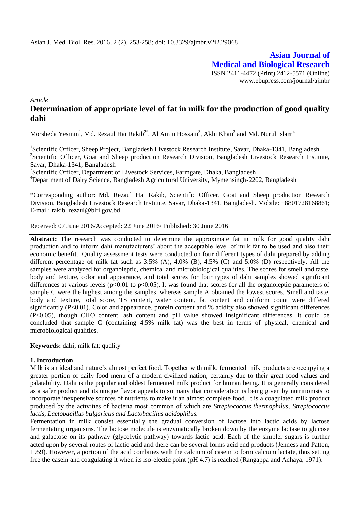**Asian Journal of Medical and Biological Research** ISSN 2411-4472 (Print) 2412-5571 (Online) www.ebupress.com/journal/ajmbr

*Article*

# **Determination of appropriate level of fat in milk for the production of good quality dahi**

Morsheda Yesmin<sup>1</sup>, Md. Rezaul Hai Rakib<sup>2\*</sup>, Al Amin Hossain<sup>3</sup>, Akhi Khan<sup>3</sup> and Md. Nurul Islam<sup>4</sup>

<sup>1</sup>Scientific Officer, Sheep Project, Bangladesh Livestock Research Institute, Savar, Dhaka-1341, Bangladesh <sup>2</sup>Scientific Officer, Goat and Sheep production Research Division, Bangladesh Livestock Research Institute, Savar, Dhaka-1341, Bangladesh

<sup>3</sup>Scientific Officer, Department of Livestock Services, Farmgate, Dhaka, Bangladesh <sup>4</sup>Department of Dairy Science, Bangladesh Agricultural University, Mymensingh-2202, Bangladesh

\*Corresponding author: Md. Rezaul Hai Rakib, Scientific Officer, Goat and Sheep production Research Division, Bangladesh Livestock Research Institute, Savar, Dhaka-1341, Bangladesh. Mobile: +8801728168861; E-mail: [rakib\\_rezaul@blri.gov.bd](mailto:rakib_rezaul@blri.gov.bd)

Received: 07 June 2016/Accepted: 22 June 2016/ Published: 30 June 2016

**Abstract:** The research was conducted to determine the approximate fat in milk for good quality dahi production and to inform dahi manufacturers' about the acceptable level of milk fat to be used and also their economic benefit. Quality assessment tests were conducted on four different types of dahi prepared by adding different percentage of milk fat such as 3.5% (A), 4.0% (B), 4.5% (C) and 5.0% (D) respectively. All the samples were analyzed for organoleptic, chemical and microbiological qualities. The scores for smell and taste, body and texture, color and appearance, and total scores for four types of dahi samples showed significant differences at various levels ( $p<0.01$  to  $p<0.05$ ). It was found that scores for all the organoleptic parameters of sample C were the highest among the samples, whereas sample A obtained the lowest scores. Smell and taste, body and texture, total score, TS content, water content, fat content and coliform count were differed significantly (P<0.01). Color and appearance, protein content and % acidity also showed significant differences (P<0.05), though CHO content, ash content and pH value showed insignificant differences. It could be concluded that sample C (containing 4.5% milk fat) was the best in terms of physical, chemical and microbiological qualities.

**Keywords:** dahi; milk fat; quality

#### **1. Introduction**

Milk is an ideal and nature's almost perfect food. Together with milk, fermented milk products are occupying a greater portion of daily food menu of a modern civilized nation, certainly due to their great food values and palatability. Dahi is the popular and oldest fermented milk product for human being. It is generally considered as a safer product and its unique flavor appeals to so many that consideration is being given by nutritionists to incorporate inexpensive sources of nutrients to make it an almost complete food. It is a coagulated milk product produced by the activities of bacteria most common of which are *Streptococcus thermophilus, Streptococcus lactis, Lactobacillus bulgaricus and Lactobacillus acidophilus.*

Fermentation in milk consist essentially the gradual conversion of lactose into lactic acids by lactose fermentating organisms. The lactose molecule is enzymatically broken down by the enzyme lactase to glucose and galactose on its pathway (glycolytic pathway) towards lactic acid. Each of the simpler sugars is further acted upon by several routes of lactic acid and there can be several forms acid end products (Jenness and Patton, 1959). However, a portion of the acid combines with the calcium of casein to form calcium lactate, thus setting free the casein and coagulating it when its iso-electic point (pH 4.7) is reached (Rangappa and Achaya, 1971).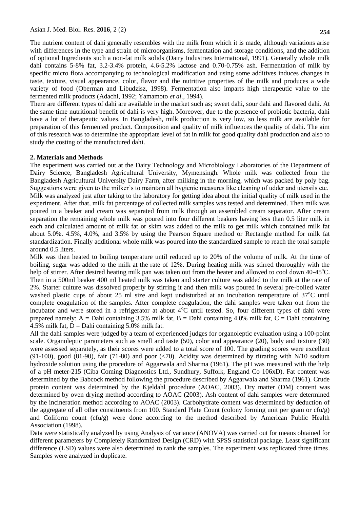The nutrient content of dahi generally resembles with the milk from which it is made, although variations arise with differences in the type and strain of microorganisms, fermentation and storage conditions, and the addition of optional Ingredients such a non-fat milk solids (Dairy Industries International, 1991). Generally whole milk dahi contains 5-8% fat, 3.2-3.4% protein, 4.6-5.2% lactose and 0.70-0.75% ash. Fermentation of milk by specific micro flora accompanying to technological modification and using some additives induces changes in taste, texture, visual appearance, color, flavor and the nutritive properties of the milk and produces a wide variety of food (Oberman and Libudzisz, 1998). Fermentation also imparts high therapeutic value to the fermented milk products (Adachi, 1992; Yamamoto *et al*., 1994).

There are different types of dahi are available in the market such as; sweet dahi, sour dahi and flavored dahi. At the same time nutritional benefit of dahi is very high. Moreover, due to the presence of probiotic bacteria, dahi have a lot of therapeutic values. In Bangladesh, milk production is very low, so less milk are available for preparation of this fermented product. Composition and quality of milk influences the quality of dahi. The aim of this research was to determine the appropriate level of fat in milk for good quality dahi production and also to study the costing of the manufactured dahi.

#### **2. Materials and Methods**

The experiment was carried out at the Dairy Technology and Microbiology Laboratories of the Department of Dairy Science, Bangladesh Agricultural University, Mymensingh. Whole milk was collected from the Bangladesh Agricultural University Dairy Farm, after milking in the morning, which was packed by poly bag. Suggestions were given to the milker's to maintain all hygienic measures like cleaning of udder and utensils etc. Milk was analyzed just after taking to the laboratory for getting idea about the initial quality of milk used in the experiment. After that, milk fat percentage of collected milk samples was tested and determined. Then milk was poured in a beaker and cream was separated from milk through an assembled cream separator. After cream separation the remaining whole milk was poured into four different beakers having less than 0.5 liter milk in each and calculated amount of milk fat or skim was added to the milk to get milk which contained milk fat about 5.0%. 4.5%, 4.0%, and 3.5% by using the Pearson Square method or Rectangle method for milk fat standardization. Finally additional whole milk was poured into the standardized sample to reach the total sample around 0.5 liters.

Milk was then heated to boiling temperature until reduced up to 20% of the volume of milk. At the time of boiling, sugar was added to the milk at the rate of 12%. During heating milk was stirred thoroughly with the help of stirrer. After desired heating milk pan was taken out from the heater and allowed to cool down 40-45<sup>o</sup>C. Then in a 500ml beaker 400 ml heated milk was taken and starter culture was added to the milk at the rate of 2%. Starter culture was dissolved properly by stirring it and then milk was poured in several pre-boiled water washed plastic cups of about 25 ml size and kept undisturbed at an incubation temperature of  $37^{\circ}$ C until complete coagulation of the samples. After complete coagulation, the dahi samples were taken out from the incubator and were stored in a refrigerator at about  $4^{\circ}$ C until tested. So, four different types of dahi were prepared namely:  $A =$ Dahi containing 3.5% milk fat,  $B =$ Dahi containing 4.0% milk fat,  $C =$ Dahi containing 4.5% milk fat,  $D =$ Dahi containing 5.0% milk fat.

All the dahi samples were judged by a team of experienced judges for organoleptic evaluation using a 100-point scale. Organoleptic parameters such as smell and taste (50), color and appearance (20), body and texture (30) were assessed separately, as their scores were added to a total score of 100. The grading scores were excellent  $(91-100)$ , good  $(81-90)$ , fair  $(71-80)$  and poor  $(\leq 70)$ . Acidity was determined by titrating with N/10 sodium hydroxide solution using the procedure of Aggarwala and Sharma (1961). The pH was measured with the help of a pH meter-215 (Ciba Coming Diagnostics Ltd., Sundhury, Suffolk, England Co 106xD). Fat content was determined by the Babcock method following the procedure described by Aggarwala and Sharma (1961). Crude protein content was determined by the Kjeldahl procedure (AOAC, 2003). Dry matter (DM) content was determined by oven drying method according to AOAC (2003). Ash content of dahi samples were determined by the incineration method according to AOAC (2003). Carbohydrate content was determined by deduction of the aggregate of all other constituents from 100. Standard Plate Count (colony forming unit per gram or cfu/g) and Coliform count (cfu/g) were done according to the method described by American Public Health Association (1998).

Data were statistically analyzed by using Analysis of variance (ANOVA) was carried out for means obtained for different parameters by Completely Randomized Design (CRD) with SPSS statistical package. Least significant difference (LSD) values were also determined to rank the samples. The experiment was replicated three times. Samples were analyzed in duplicate.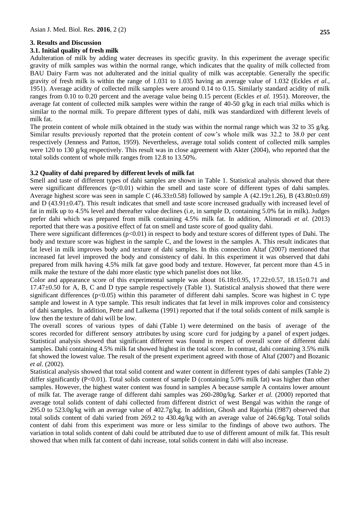## **3. Results and Discussion**

#### **3.1. Initial quality of fresh milk**

Adulteration of milk by adding water decreases its specific gravity. In this experiment the average specific gravity of milk samples was within the normal range, which indicates that the quality of milk collected from BAU Dairy Farm was not adulterated and the initial quality of milk was acceptable. Generally the specific gravity of fresh milk is within the range of 1.031 to 1.035 having an average value of 1.032 (Eckles *et al.,* 1951). Average acidity of collected milk samples were around 0.14 to 0.15. Similarly standard acidity of milk ranges from 0.10 to 0.20 percent and the average value being 0.15 percent (Eckles *et al.* 1951). Moreover, the average fat content of collected milk samples were within the range of 40-50 g/kg in each trial milks which is similar to the normal milk. To prepare different types of dahi, milk was standardized with different levels of milk fat.

The protein content of whole milk obtained in the study was within the normal range which was 32 to 35  $g/kg$ . Similar results previously reported that the protein content of cow's whole milk was 32.2 to 38.0 per cent respectively (Jenness and Patton, 1959). Nevertheless, average total solids content of collected milk samples were 120 to 130 g/kg respectively. This result was in close agreement with Akter (2004), who reported that the total solids content of whole milk ranges from 12.8 to 13.50%.

## **3.2 Quality of dahi prepared by different levels of milk fat**

Smell and taste of different types of dahi samples are shown in Table 1. Statistical analysis showed that there were significant differences  $(p<0.01)$  within the smell and taste score of different types of dahi samples. Average highest score was seen in sample C (46.33 $\pm$ 0.58) followed by sample A (42.19 $\pm$ 1.26), B (43.80 $\pm$ 0.69) and  $D$  (43.91 $\pm$ 0.47). This result indicates that smell and taste score increased gradually with increased level of fat in milk up to 4.5% level and thereafter value declines (i.e, in sample D, containing 5.0% fat in milk). Judges prefer dahi which was prepared from milk containing 4.5% milk fat. In addition, Alimoradi *et al.* (2013) reported that there was a positive effect of fat on smell and taste score of good quality dahi.

There were significant differences ( $p<0.01$ ) in respect to body and texture scores of different types of Dahi. The body and texture score was highest in the sample C, and the lowest in the samples A. This result indicates that fat level in milk improves body and texture of dahi samples. In this connection Altaf (2007) mentioned that increased fat level improved the body and consistency of dahi. In this experiment it was observed that dahi prepared from milk having 4.5% milk fat gave good body and texture. However, fat percent more than 4.5 in milk make the texture of the dahi more elastic type which panelist does not like.

Color and appearance score of this experimental sample was about  $16.18\pm0.95$ ,  $17.22\pm0.57$ ,  $18.15\pm0.71$  and 17.47±0.50 for A, B, C and D type sample respectively (Table 1). Statistical analysis showed that there were significant differences (p<0.05) within this parameter of different dahi samples. Score was highest in C type sample and lowest in A type sample. This result indicates that fat level in milk improves color and consistency of dahi samples. In addition, Pette and Lalkema (1991) reported that if the total solids content of milk sample is low then the texture of dahi will be low.

The overall scores of various types of dahi (Table 1) were determined on the basis of average of the scores recorded for different sensory attributes by using score curd for judging by a panel of expert judges. Statistical analysis showed that significant different was found in respect of overall score of different dahi samples. Dahi containing 4.5% milk fat showed highest in the total score. In contrast, dahi containing 3.5% milk fat showed the lowest value. The result of the present experiment agreed with those of Altaf (2007) and Bozanic *et al.* (2002).

Statistical analysis showed that total solid content and water content in different types of dahi samples (Table 2) differ significantly (P<0.01). Total solids content of sample D (containing 5.0% milk fat) was higher than other samples. However, the highest water content was found in samples A because sample A contains lower amount of milk fat. The average range of different dahi samples was 260-280g/kg. Sarker *et al.* (2000) reported that average total solids content of dahi collected from different district of west Bengal was within the range of 295.0 to 523.0g/kg with an average value of 402.7g/kg. In addition, Ghosh and Rajorhia (l987) observed that total solids content of dahi varied from 269.2 to 430.4g/kg with an average value of 246.6g/kg. Total solids content of dahi from this experiment was more or less similar to the findings of above two authors. The variation in total solids content of dahi could be attributed due to use of different amount of milk fat. This result showed that when milk fat content of dahi increase, total solids content in dahi will also increase.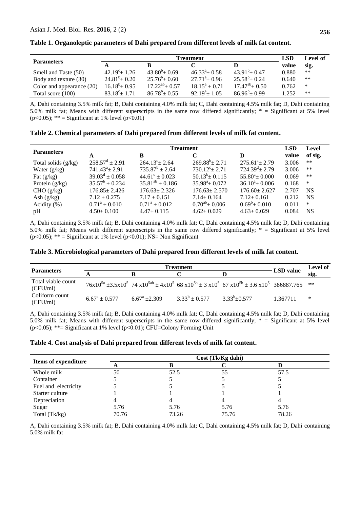|                           | Treatment              |                        |                        |                     | <b>LSD</b> | Level of |
|---------------------------|------------------------|------------------------|------------------------|---------------------|------------|----------|
| <b>Parameters</b>         |                        |                        |                        |                     | value      | sig.     |
| Smell and Taste (50)      | $42.19^{\circ}$ + 1.26 | $43.80^{\circ}$ ± 0.69 | $46.33^{\circ}$ + 0.58 | $43.91^{b} + 0.47$  | 0.880      | **       |
| Body and texture (30)     | $24.81^b \pm 0.20$     | $25.76^b \pm 0.60$     | $27.71^{\circ}$ ± 0.96 | $25.58^b \pm 0.24$  | 0.640      | $***$    |
| Color and appearance (20) | $16.18^b \pm 0.95$     | $17.22^{ab}$ ± 0.57    | $18.15^a + 0.71$       | $17.47^{ab}$ + 0.50 | 0.762      | ∗        |
| Total score (100)         | $83.18^{\circ}$ ± 1.71 | $86.78^b \pm 0.55$     | $92.19^{\circ}$ ± 1.05 | $86.96^b \pm 0.99$  | 1.252      | **       |

**Table 1. Organoleptic parameters of Dahi prepared from different levels of milk fat content.**

A, Dahi containing 3.5% milk fat; B, Dahi containing 4.0% milk fat; C, Dahi containing 4.5% milk fat; D, Dahi containing 5.0% milk fat; Means with different superscripts in the same row differed significantly; \* = Significant at 5% level (p<0.05); \*\* = Significant at 1% level (p<0.01)

|  |  |  | Table 2. Chemical parameters of Dahi prepared from different levels of milk fat content. |
|--|--|--|------------------------------------------------------------------------------------------|
|--|--|--|------------------------------------------------------------------------------------------|

|                       | <b>Treatment</b>          |                           |                         |                                | <b>LSD</b> | Level     |
|-----------------------|---------------------------|---------------------------|-------------------------|--------------------------------|------------|-----------|
| <b>Parameters</b>     | A                         | В                         |                         | D                              | value      | of sig.   |
| Total solids $(g/kg)$ | $258.57^{\rm d} \pm 2.91$ | $264.13^{\circ}$ ± 2.64   | $269.88^{b} \pm 2.71$   | $275.61^{\circ}$ ± 2.79        | 3.006      | $***$     |
| Water $(g/kg)$        | $741.43^a \pm 2.91$       | $735.87^b \pm 2.64$       | $730.12^{\circ}$ ± 2.71 | $724.39^{\mathrm{d}} \pm 2.79$ | 3.006      | $***$     |
| Fat $(g/kg)$          | $39.03^{\rm d} \pm 0.058$ | $44.61^{\circ} \pm 0.023$ | $50.13^b \pm 0.115$     | $55.80^{\circ}$ ± 0.000        | 0.069      | $***$     |
| Protein $(g/kg)$      | $35.57^b \pm 0.234$       | $35.81^{ab} \pm 0.186$    | $35.98^{\circ}$ ± 0.072 | $36.10^4 \pm 0.006$            | 0.168      | $\ast$    |
| CHO (g/kg)            | $176.85 \pm 2.426$        | $176.63 \pm 2.326$        | $176.63 \pm 2.570$      | $176.60 \pm 2.627$             | 2.707      | <b>NS</b> |
| Ash $(g/kg)$          | $7.12 \pm 0.275$          | $7.17 \pm 0.151$          | $7.14 \pm 0.164$        | $7.12 \pm 0.161$               | 0.212      | <b>NS</b> |
| Acidity $(\% )$       | $0.71^a \pm 0.010$        | $0.71^a \pm 0.012$        | $0.70^{ab}$ ± 0.006     | $0.69^b \pm 0.010$             | 0.011      | *         |
| pH                    | $4.50 \pm 0.100$          | $4.47 \pm 0.115$          | $4.62 \pm 0.029$        | $4.63 \pm 0.029$               | 0.084      | <b>NS</b> |

A, Dahi containing 3.5% milk fat; B, Dahi containing 4.0% milk fat; C, Dahi containing 4.5% milk fat; D, Dahi containing 5.0% milk fat; Means with different superscripts in the same row differed significantly; \* = Significant at 5% level ( $p<0.05$ ); \*\* = Significant at 1% level ( $p<0.01$ ); NS= Non Significant

| <b>Parameters</b>              | <b>Treatment</b>       |                            |                    |                                                                                                                    | <b>LSD</b> value | Level of |
|--------------------------------|------------------------|----------------------------|--------------------|--------------------------------------------------------------------------------------------------------------------|------------------|----------|
|                                |                        |                            |                    |                                                                                                                    | sig.             |          |
| Total viable count<br>(CFU/ml) |                        |                            |                    | $76x10^{5a} \pm 3.5x10^5$ 74 $x10^{5ab} \pm 4x10^5$ 68 $x10^{5b} \pm 3x10^5$ 67 $x10^{5b} \pm 3.6x10^5$ 386887.765 |                  | **       |
| Coliform count<br>(CFU/ml)     | $6.67^{\rm a}$ + 0.577 | $6.67^{\mathrm{a}}$ +2.309 | $3.33^b \pm 0.577$ | $3.33^{b}+0.577$                                                                                                   | 1.367711         | ∗        |

A, Dahi containing 3.5% milk fat; B, Dahi containing 4.0% milk fat; C, Dahi containing 4.5% milk fat; D, Dahi containing 5.0% milk fat; Means with different superscripts in the same row differed significantly; \* = Significant at 5% level ( $p<0.05$ ); \*\*= Significant at 1% level ( $p<0.01$ ); CFU=Colony Forming Unit

#### **Table 4. Cost analysis of Dahi prepared from different levels of milk fat content.**

|                             | Cost (Tk/Kg dahi) |       |       |       |  |  |
|-----------------------------|-------------------|-------|-------|-------|--|--|
| <b>Items of expenditure</b> |                   |       |       |       |  |  |
| Whole milk                  | 50                | 52.5  | 55    | 57.5  |  |  |
| Container                   |                   |       |       |       |  |  |
| Fuel and electricity        |                   |       |       |       |  |  |
| Starter culture             |                   |       |       |       |  |  |
| Depreciation                |                   |       |       |       |  |  |
| Sugar                       | 5.76              | 5.76  | 5.76  | 5.76  |  |  |
| Total (Tk/kg)               | 70.76             | 73.26 | 75.76 | 78.26 |  |  |

A, Dahi containing 3.5% milk fat; B, Dahi containing 4.0% milk fat; C, Dahi containing 4.5% milk fat; D, Dahi containing 5.0% milk fat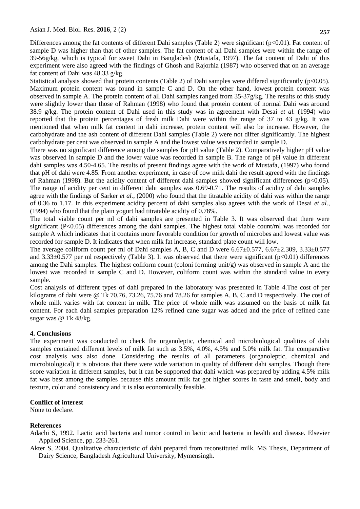Differences among the fat contents of different Dahi samples (Table 2) were significant (p<0.01). Fat content of sample D was higher than that of other samples. The fat content of all Dahi samples were within the range of 39-56g/kg, which is typical for sweet Dahi in Bangladesh (Mustafa, 1997). The fat content of Dahi of this experiment were also agreed with the findings of Ghosh and Rajorhia (1987) who observed that on an average fat content of Dahi was 48.33 g/kg.

Statistical analysis showed that protein contents (Table 2) of Dahi samples were differed significantly ( $p<0.05$ ). Maximum protein content was found in sample C and D. On the other hand, lowest protein content was observed in sample A. The protein content of all Dahi samples ranged from 35-37g/kg. The results of this study were slightly lower than those of Rahman (1998) who found that protein content of normal Dahi was around 38.9 g/kg. The protein content of Dahi used in this study was in agreement with Desai *et al.* (1994) who reported that the protein percentages of fresh milk Dahi were within the range of 37 to 43 g/kg. It was mentioned that when milk fat content in dahi increase, protein content will also be increase. However, the carbohydrate and the ash content of different Dahi samples (Table 2) were not differ significantly. The highest carbohydrate per cent was observed in sample A and the lowest value was recorded in sample D.

There was no significant difference among the samples for pH value (Table 2). Comparatively higher pH value was observed in sample D and the lower value was recorded in sample B. The range of pH value in different dahi samples was 4.50-4.65. The results of present findings agree with the work of Mustafa, (1997) who found that pH of dahi were 4.85. From another experiment, in case of cow milk dahi the result agreed with the findings of Rahman (1998). But the acidity content of different dahi samples showed significant differences ( $p<0.05$ ). The range of acidity per cent in different dahi samples was 0.69-0.71. The results of acidity of dahi samples agree with the findings of Sarker *et al.,* (2000) who found that the titratable acidity of dahi was within the range of 0.36 to 1.17. In this experiment acidity percent of dahi samples also agrees with the work of Desai *et al.,* (1994) who found that the plain yogurt had titratable acidity of 0.78%.

The total viable count per ml of dahi samples are presented in Table 3. It was observed that there were significant (P<0.05) differences among the dahi samples. The highest total viable count/ml was recorded for sample A which indicates that it contains more favorable condition for growth of microbes and lowest value was recorded for sample D. It indicates that when milk fat increase, standard plate count will low.

The average coliform count per ml of Dahi samples A, B, C and D were  $6.67\pm0.577$ ,  $6.67\pm2.309$ ,  $3.33\pm0.577$ and  $3.33\pm0.577$  per ml respectively (Table 3). It was observed that there were significant (p<0.01) differences among the Dahi samples. The highest coliform count (coloni forming unit/g) was observed in sample A and the lowest was recorded in sample C and D. However, coliform count was within the standard value in every sample.

Cost analysis of different types of dahi prepared in the laboratory was presented in Table 4.The cost of per kilograms of dahi were @ Tk 70.76, 73.26, 75.76 and 78.26 for samples A, B, C and D respectively. The cost of whole milk varies with fat content in milk. The price of whole milk was assumed on the basis of milk fat content. For each dahi samples preparation 12% refined cane sugar was added and the price of refined cane sugar was @ Tk 48/kg.

# **4. Conclusions**

The experiment was conducted to check the organoleptic, chemical and microbiological qualities of dahi samples contained different levels of milk fat such as 3.5%, 4.0%, 4.5% and 5.0% milk fat. The comparative cost analysis was also done. Considering the results of all parameters (organoleptic, chemical and microbiological) it is obvious that there were wide variation in quality of different dahi samples. Though there score variation in different samples, but it can be supported that dahi which was prepared by adding 4.5% milk fat was best among the samples because this amount milk fat got higher scores in taste and smell, body and texture, color and consistency and it is also economically feasible.

# **Conflict of interest**

None to declare.

# **References**

Adachi S, 1992. Lactic acid bacteria and tumor control in lactic acid bacteria in health and disease. Elsevier Applied Science, pp. 233-261.

Akter S, 2004. Qualitative characteristic of dahi prepared from reconstituted milk. MS Thesis, Department of Dairy Science, Bangladesh Agricultural University, Mymensingh.